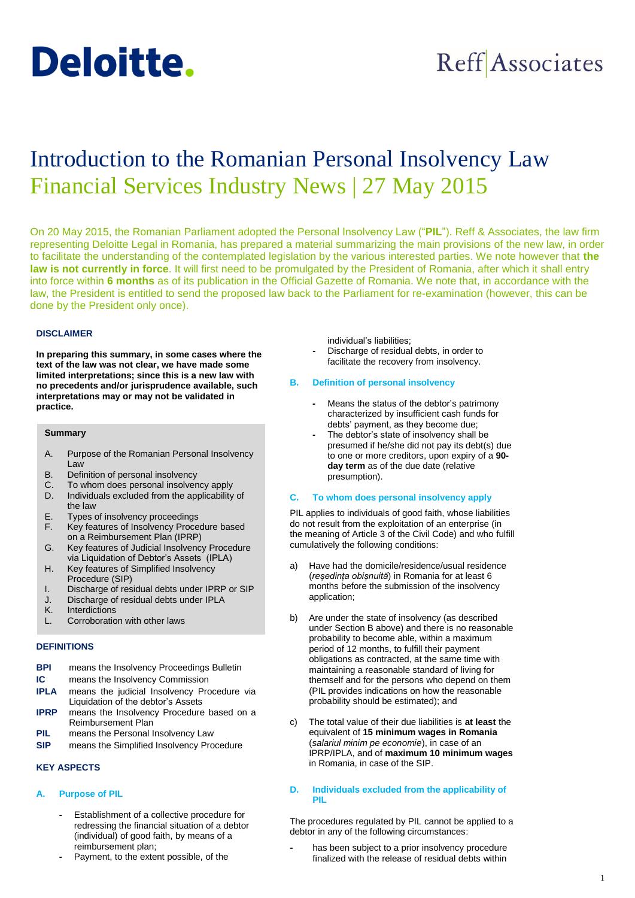

# **Reff** Associates

## Introduction to the Romanian Personal Insolvency Law Financial Services Industry News | 27 May 2015

On 20 May 2015, the Romanian Parliament adopted the Personal Insolvency Law ("**PIL**"). Reff & Associates, the law firm representing Deloitte Legal in Romania, has prepared a material summarizing the main provisions of the new law, in order to facilitate the understanding of the contemplated legislation by the various interested parties. We note however that **the law is not currently in force**. It will first need to be promulgated by the President of Romania, after which it shall entry into force within **6 months** as of its publication in the Official Gazette of Romania. We note that, in accordance with the law, the President is entitled to send the proposed law back to the Parliament for re-examination (however, this can be done by the President only once).

## **DISCLAIMER**

**In preparing this summary, in some cases where the text of the law was not clear, we have made some limited interpretations; since this is a new law with no precedents and/or jurisprudence available, such interpretations may or may not be validated in practice.** 

#### **Summary**

- A. Purpose of the Romanian Personal Insolvency Law
- B. Definition of personal insolvency
- C. To whom does personal insolvency apply
- D. Individuals excluded from the applicability of the law
- E. Types of insolvency proceedings
- F. Key features of Insolvency Procedure based on a Reimbursement Plan (IPRP)
- G. Key features of Judicial Insolvency Procedure via Liquidation of Debtor's Assets (IPLA)
- H. Key features of Simplified Insolvency Procedure (SIP)
- I. Discharge of residual debts under IPRP or SIP
- J. Discharge of residual debts under IPLA
- K. Interdictions
- L. Corroboration with other laws

## **DEFINITIONS**

| BPI  | means the Insolvency Proceedings Bulletin   |  |  |
|------|---------------------------------------------|--|--|
| IC   | means the Insolvency Commission             |  |  |
| IPLA | means the judicial Insolvency Procedure via |  |  |
|      | Liquidation of the debtor's Assets          |  |  |

- **IPRP** means the Insolvency Procedure based on a Reimbursement Plan
- **PIL** means the Personal Insolvency Law
- **SIP** means the Simplified Insolvency Procedure

### **KEY ASPECTS**

## **A. Purpose of PIL**

- **-** Establishment of a collective procedure for redressing the financial situation of a debtor (individual) of good faith, by means of a reimbursement plan;
- **-** Payment, to the extent possible, of the

individual's liabilities;

**-** Discharge of residual debts, in order to facilitate the recovery from insolvency.

## **B. Definition of personal insolvency**

- **-** Means the status of the debtor's patrimony characterized by insufficient cash funds for debts' payment, as they become due;
- **-** The debtor's state of insolvency shall be presumed if he/she did not pay its debt(s) due to one or more creditors, upon expiry of a **90 day term** as of the due date (relative presumption).

#### **C. To whom does personal insolvency apply**

PIL applies to individuals of good faith, whose liabilities do not result from the exploitation of an enterprise (in the meaning of Article 3 of the Civil Code) and who fulfill cumulatively the following conditions:

- a) Have had the domicile/residence/usual residence (*reședința obișnuită*) in Romania for at least 6 months before the submission of the insolvency application;
- b) Are under the state of insolvency (as described under Section B above) and there is no reasonable probability to become able, within a maximum period of 12 months, to fulfill their payment obligations as contracted, at the same time with maintaining a reasonable standard of living for themself and for the persons who depend on them (PIL provides indications on how the reasonable probability should be estimated); and
- c) The total value of their due liabilities is **at least** the equivalent of **15 minimum wages in Romania** (*salariul minim pe economie*), in case of an IPRP/IPLA, and of **maximum 10 minimum wages** in Romania, in case of the SIP.

## **D. Individuals excluded from the applicability of PIL**

The procedures regulated by PIL cannot be applied to a debtor in any of the following circumstances:

**-** has been subject to a prior insolvency procedure finalized with the release of residual debts within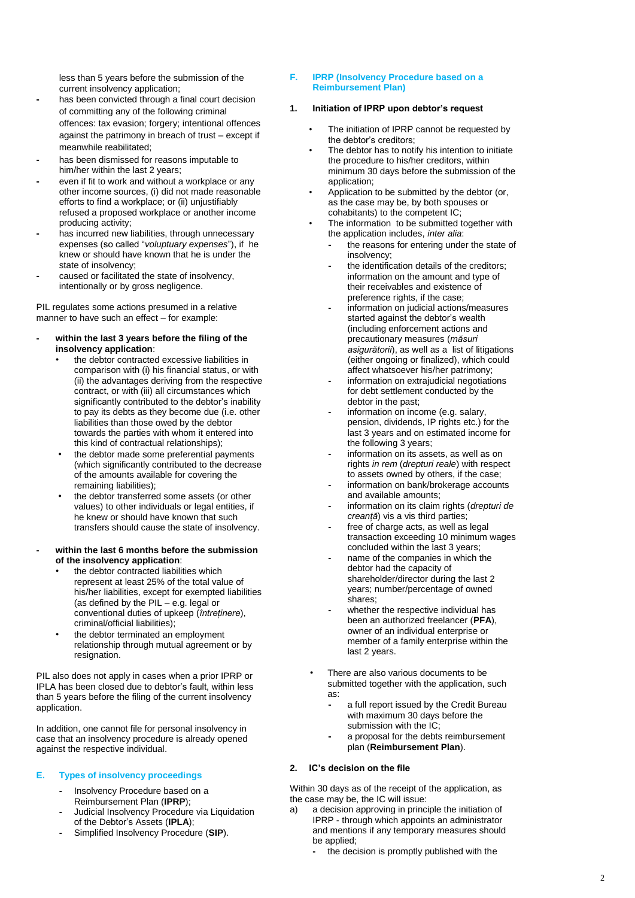less than 5 years before the submission of the current insolvency application;

- **-** has been convicted through a final court decision of committing any of the following criminal offences: tax evasion; forgery; intentional offences against the patrimony in breach of trust – except if meanwhile reabilitated;
- **-** has been dismissed for reasons imputable to him/her within the last 2 years;
- **-** even if fit to work and without a workplace or any other income sources, (i) did not made reasonable efforts to find a workplace; or (ii) unjustifiably refused a proposed workplace or another income producing activity;
- **-** has incurred new liabilities, through unnecessary expenses (so called "*voluptuary expenses*"), if he knew or should have known that he is under the state of insolvency;
- **-** caused or facilitated the state of insolvency, intentionally or by gross negligence.

PIL regulates some actions presumed in a relative manner to have such an effect – for example:

#### **- within the last 3 years before the filing of the insolvency application**:

- the debtor contracted excessive liabilities in comparison with (i) his financial status, or with (ii) the advantages deriving from the respective contract, or with (iii) all circumstances which significantly contributed to the debtor's inability to pay its debts as they become due (i.e. other liabilities than those owed by the debtor towards the parties with whom it entered into this kind of contractual relationships);
- the debtor made some preferential payments (which significantly contributed to the decrease of the amounts available for covering the remaining liabilities);
- the debtor transferred some assets (or other values) to other individuals or legal entities, if he knew or should have known that such transfers should cause the state of insolvency.
- **- within the last 6 months before the submission of the insolvency application**:
	- the debtor contracted liabilities which represent at least 25% of the total value of his/her liabilities, except for exempted liabilities (as defined by the PIL – e.g. legal or conventional duties of upkeep (*întreținere*), criminal/official liabilities);
	- the debtor terminated an employment relationship through mutual agreement or by resignation.

PIL also does not apply in cases when a prior IPRP or IPLA has been closed due to debtor's fault, within less than 5 years before the filing of the current insolvency application.

In addition, one cannot file for personal insolvency in case that an insolvency procedure is already opened against the respective individual.

## **E. Types of insolvency proceedings**

- **-** Insolvency Procedure based on a Reimbursement Plan (**IPRP**);
- **-** Judicial Insolvency Procedure via Liquidation of the Debtor's Assets (**IPLA**);
- **-** Simplified Insolvency Procedure (**SIP**).

## **F. IPRP (Insolvency Procedure based on a Reimbursement Plan)**

## **1. Initiation of IPRP upon debtor's request**

- The initiation of IPRP cannot be requested by the debtor's creditors;
- The debtor has to notify his intention to initiate the procedure to his/her creditors, within minimum 30 days before the submission of the application;
- Application to be submitted by the debtor (or, as the case may be, by both spouses or cohabitants) to the competent IC;
- The information to be submitted together with the application includes, *inter alia*:
	- **-** the reasons for entering under the state of insolvency;
	- **-** the identification details of the creditors; information on the amount and type of their receivables and existence of preference rights, if the case;
	- **-** information on judicial actions/measures started against the debtor's wealth (including enforcement actions and precautionary measures (*măsuri asigurătorii*), as well as a list of litigations (either ongoing or finalized), which could affect whatsoever his/her patrimony;
	- **-** information on extrajudicial negotiations for debt settlement conducted by the debtor in the past;
	- **-** information on income (e.g. salary, pension, dividends, IP rights etc.) for the last 3 years and on estimated income for the following 3 years;
	- **-** information on its assets, as well as on rights *in rem* (*drepturi reale*) with respect to assets owned by others, if the case;
	- **-** information on bank/brokerage accounts and available amounts;
	- **-** information on its claim rights (*drepturi de creanță*) vis a vis third parties;
	- free of charge acts, as well as legal transaction exceeding 10 minimum wages concluded within the last 3 years;
	- **-** name of the companies in which the debtor had the capacity of shareholder/director during the last 2 years; number/percentage of owned shares;
	- **-** whether the respective individual has been an authorized freelancer (**PFA**), owner of an individual enterprise or member of a family enterprise within the last 2 years.
- There are also various documents to be submitted together with the application, such as:
	- **-** a full report issued by the Credit Bureau with maximum 30 days before the submission with the IC;
	- **-** a proposal for the debts reimbursement plan (**Reimbursement Plan**).

## **2. IC's decision on the file**

Within 30 days as of the receipt of the application, as the case may be, the IC will issue:

- a) a decision approving in principle the initiation of IPRP - through which appoints an administrator and mentions if any temporary measures should be applied;
	- **-** the decision is promptly published with the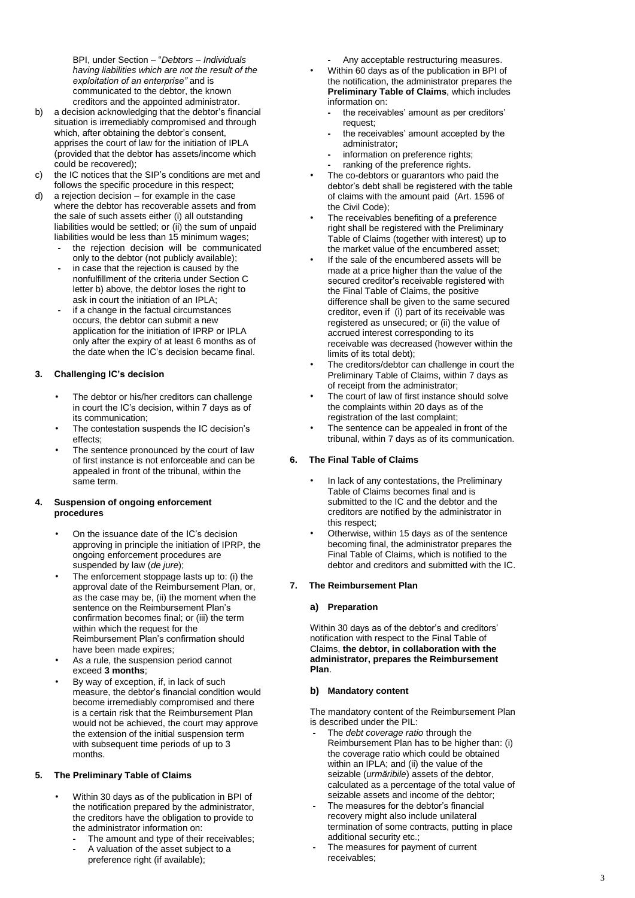BPI, under Section – "*Debtors – Individuals having liabilities which are not the result of the exploitation of an enterprise"* and is communicated to the debtor, the known creditors and the appointed administrator .

- b) a decision acknowledging that the debtor's financial situation is irremediably compromised and through which, after obtaining the debtor's consent, apprises the court of law for the initiation of IPLA (provided that the debtor has assets/income which could be recovered);
- c) the IC notices that the SIP's conditions are met and follows the specific procedure in this respect;
- d) a rejection decision for example in the case where the debtor has recoverable assets and from the sale of such assets either (i) all outstanding liabilities would be settled; or (ii) the sum of unpaid liabilities would be less than 15 minimum wages;
	- **-** the rejection decision will be communicated only to the debtor (not publicly available);
	- **-** in case that the rejection is caused by the nonfulfillment of the criteria under Section C letter b) above, the debtor loses the right to ask in court the initiation of an IPLA ;
	- **-** if a change in the factual circumstances occurs, the debtor can submit a new application for the initiation of IPRP or IPLA only after the expiry of at least 6 months as of the date when the IC's decision became final.

## **3. Challenging IC's decision**

- The debtor or his/her creditors can challenge in court the IC's decision, within 7 days as of its communication ;
- The contestation suspends the IC decision's effects ;
- The sentence pronounced by the court of law of first instance is not enforceable and can be appealed in front of the tribunal, within the same term .

## **4. Suspension of ongoing enforcement procedures**

- On the issuance date of the IC's decision approving in principle the initiation of IPRP, the ongoing enforcement procedures are suspended by law (*de jure* ) ;
- The enforcement stoppage lasts up to: (i) the approval date of the Reimbursement Plan, or, as the case may be, (ii) the moment when the sentence on the Reimbursement Plan's confirmation becomes final; or (iii) the term within which the request for the Reimbursement Plan's confirmation should have been made expires;
- As a rule, the suspension period cannot exceed **3 months** ;
- By way of exception, if , in lack of such measure , the debtor's financial condition would become irremediably compromised and there is a certain risk that the Reimbursement Plan would not be achieved, the court may approve the extension of the initial suspension term with subsequent time periods of up to 3 month s .

## **5. The Preliminary Table of Claims**

- Within 30 days as of the publication in BPI of the notification prepared by the administrator, the creditors have the obligation to provide to the administrator information on:
	- **-** The amount and type of their receivables;
	- **-** A valuation of the asset subject to a preference right (if available);

**-** Any acceptable restructuring measures.

- Within 60 days as of the publication in BPI of the notification, the administrator prepares the **Preliminary Table of Claims**, which includes information on:
	- **-** the receivables' amount as per creditors' request;
	- **-** the receivables' amount accepted by the administrator;
	- **-** information on preference rights;
- **-** ranking of the preference rights.
- The co -debtors or guarantors who paid the debtor's debt shall be registered with the table of claims with the amount paid (Art. 1596 of the Civil Code);
- The receivables benefiting of a preference right shall be registered with the Preliminary Table of Claims (together with interest) up to the market value of the encumbered asset;
- If the sale of the encumbered assets will be made at a price higher than the value of the secured creditor's receivable registered with the Final Table of Claims, the positive difference shall be given to the same secured creditor, even if (i) part of its receivable was registered as unsecured; or (ii) the value of accrued interest corresponding to its receivable was decreased (however within the limits of its total debt);
- The creditors/debtor can challenge in court the Preliminary Table of Claims, within 7 days as of receipt from the administrator;
- The court of law of first instance should solve the complaints within 20 days as of the registration of the last complaint ;
- The sentence can be appealed in front of the tribunal, within 7 days as of its communication .

## **6. The Final Table of Claims**

- In lack of any contestations, the Preliminary Table of Claims becomes final and is submitted to the IC and the debtor and the creditors are notified by the administrator in this respect ;
- Otherwise, within 15 days as of the sentence becoming final, the administrator prepares the Final Table of Claims, which is notified to the debtor and creditors and submitted with the IC .

## **7. The Reimbursement Plan**

## **a) Preparation**

Within 30 days as of the debtor's and creditors' notification with respect to the Final Table of Claims, **the debtor, in collaboration with the administrator, prepares the Reimbursement Plan** .

## **b) Mandatory content**

The mandatory content of the Reimbursement Plan is described under the PIL:

- **-** The *debt coverage ratio* through the Reimbursement Plan has to be higher than : (i) the coverage ratio which could be obtained within an IPLA; and (ii) the value of the seizable (*urm ăribile*) assets of the debtor, calculated as a percentage of the total value of seizable assets and income of the debtor;
- **-** The measures for the debtor's financial recovery might also include unilateral termination of some contracts, putting in place additional security etc.;
- **-** The measures for payment of current receivables;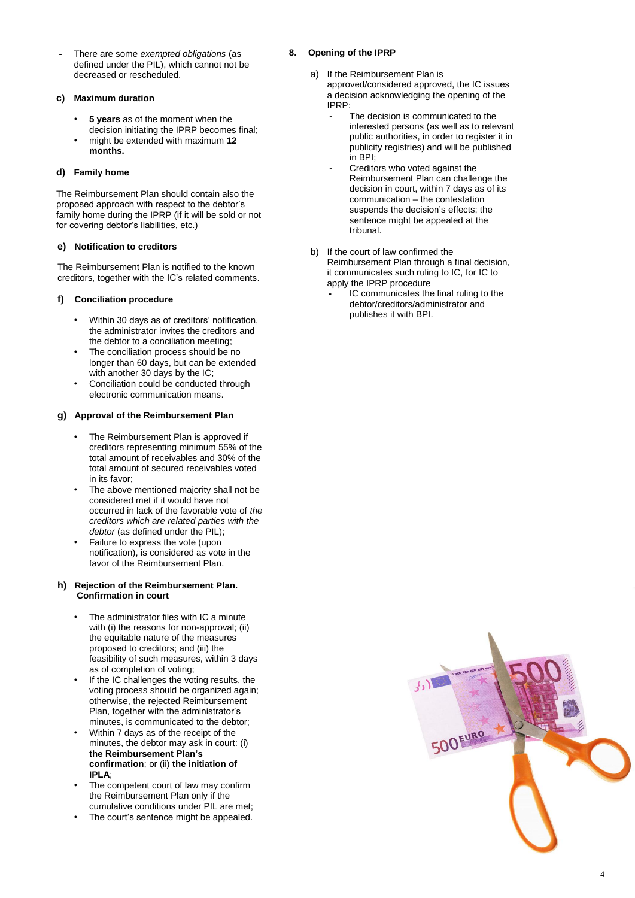**-** There are some *exempted obligations* (as defined under the PIL), which cannot not be decreased or rescheduled.

## **c) Maximum duration**

- **5 years** as of the moment when the decision initiating the IPRP becomes final;
- might be extended with maximum **12 months.**

## **d) Family home**

The Reimbursement Plan should contain also the proposed approach with respect to the debtor's family home during the IPRP (if it will be sold or not for covering debtor's liabilities, etc.)

## **e) Notification to creditors**

The Reimbursement Plan is notified to the known creditors, together with the IC's related comments.

## **f) Conciliation procedure**

- Within 30 days as of creditors' notification, the administrator invites the creditors and the debtor to a conciliation meeting;
- The conciliation process should be no longer than 60 days, but can be extended with another 30 days by the IC;
- Conciliation could be conducted through electronic communication means.

## **g) Approval of the Reimbursement Plan**

- The Reimbursement Plan is approved if creditors representing minimum 55% of the total amount of receivables and 30% of the total amount of secured receivables voted in its favor;
- The above mentioned majority shall not be considered met if it would have not occurred in lack of the favorable vote of *the creditors which are related parties with the debtor* (as defined under the PIL);
- Failure to express the vote (upon notification), is considered as vote in the favor of the Reimbursement Plan.

#### **h) Rejection of the Reimbursement Plan. Confirmation in court**

- The administrator files with IC a minute with (i) the reasons for non-approval; (ii) the equitable nature of the measures proposed to creditors; and (iii) the feasibility of such measures, within 3 days as of completion of voting;
- If the IC challenges the voting results, the voting process should be organized again; otherwise, the rejected Reimbursement Plan, together with the administrator's minutes, is communicated to the debtor;
- Within 7 days as of the receipt of the minutes, the debtor may ask in court: (i) **the Reimbursement Plan's confirmation**; or (ii) **the initiation of IPLA**;
- The competent court of law may confirm the Reimbursement Plan only if the cumulative conditions under PIL are met;
- The court's sentence might be appealed.

## **8. Opening of the IPRP**

- a) If the Reimbursement Plan is approved/considered approved, the IC issues a decision acknowledging the opening of the IPRP:
	- **-** The decision is communicated to the interested persons (as well as to relevant public authorities, in order to register it in publicity registries) and will be published in BPI;
	- **-** Creditors who voted against the Reimbursement Plan can challenge the decision in court, within 7 days as of its communication – the contestation suspends the decision's effects; the sentence might be appealed at the tribunal.
- b) If the court of law confirmed the Reimbursement Plan through a final decision, it communicates such ruling to IC, for IC to apply the IPRP procedure
	- **-** IC communicates the final ruling to the debtor/creditors/administrator and publishes it with BPI.

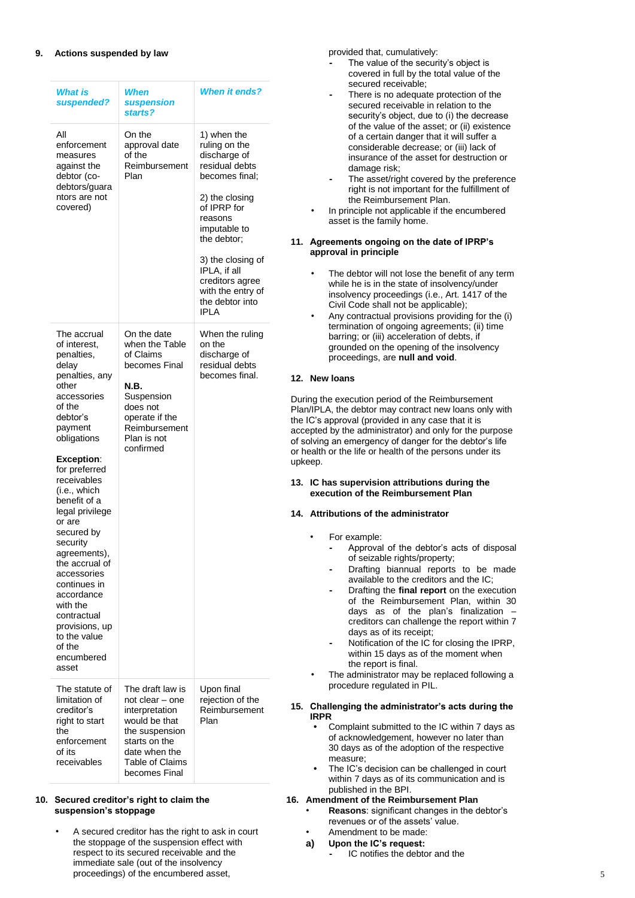| What is<br>suspended?                                                                                                                                                                                                                                                                                                                                                                                                                                                 | When<br>suspension<br>starts?                                                                                                                                  | <b>When it ends?</b>                                                                                                                                                                                                                                                       |
|-----------------------------------------------------------------------------------------------------------------------------------------------------------------------------------------------------------------------------------------------------------------------------------------------------------------------------------------------------------------------------------------------------------------------------------------------------------------------|----------------------------------------------------------------------------------------------------------------------------------------------------------------|----------------------------------------------------------------------------------------------------------------------------------------------------------------------------------------------------------------------------------------------------------------------------|
| All<br>enforcement<br>measures<br>against the<br>debtor (co-<br>debtors/guara<br>ntors are not<br>covered)                                                                                                                                                                                                                                                                                                                                                            | On the<br>approval date<br>of the<br>Reimbursement<br>Plan                                                                                                     | 1) when the<br>ruling on the<br>discharge of<br>residual debts<br>becomes final;<br>2) the closing<br>of IPRP for<br>reasons<br>imputable to<br>the debtor;<br>3) the closing of<br>IPLA, if all<br>creditors agree<br>with the entry of<br>the debtor into<br><b>IPLA</b> |
| The accrual<br>of interest.<br>penalties,<br>delay<br>penalties, any<br>other<br>accessories<br>of the<br>debtor's<br>payment<br>obligations<br><b>Exception:</b><br>for preferred<br>receivables<br>(i.e., which<br>benefit of a<br>legal privilege<br>or are<br>secured by<br>security<br>agreements),<br>the accrual of<br>accessories<br>continues in<br>accordance<br>with the<br>contractual<br>provisions, up<br>to the value<br>of the<br>encumbered<br>asset | On the date<br>when the Table<br>of Claims<br>becomes Final<br>N.B.<br>Suspension<br>does not<br>operate if the<br>Reimbursement<br>Plan is not<br>confirmed   | When the ruling<br>on the<br>discharge of<br>residual debts<br>becomes final.                                                                                                                                                                                              |
| The statute of<br>limitation of<br>creditor's<br>right to start<br>the<br>enforcement<br>of its<br>receivables                                                                                                                                                                                                                                                                                                                                                        | The draft law is<br>not clear - one<br>interpretation<br>would be that<br>the suspension<br>starts on the<br>date when the<br>Table of Claims<br>becomes Final | Upon final<br>rejection of the<br>Reimbursement<br>Plan                                                                                                                                                                                                                    |

## **10. Secured creditor's right to claim the suspension's stoppage**

• A secured creditor has the right to ask in court the stoppage of the suspension effect with respect to its secured receivable and the immediate sale (out of the insolvency proceedings) of the encumbered asset,

provided that, cumulatively:

- **-** The value of the security's object is covered in full by the total value of the secured receivable;
- **-** There is no adequate protection of the secured receivable in relation to the security's object, due to (i) the decrease of the value of the asset; or (ii) existence of a certain danger that it will suffer a considerable decrease; or (iii) lack of insurance of the asset for destruction or damage risk;
- **-** The asset/right covered by the preference right is not important for the fulfillment of the Reimbursement Plan.
- In principle not applicable if the encumbered asset is the family home .

## **11. Agreements ongoing on the date of IPRP's approval in principle**

- The debtor will not lose the benefit of any term while he is in the state of insolvency/under insolvency proceedings (i.e., Art. 1417 of the Civil Code shall not be applicable);
- Any contractual provisions providing for the (i) termination of ongoing agreements; (ii) time barring; or (iii) acceleration of debts, if grounded on the opening of the insolvency proceedings, are **null and void** .

## **12. New loans**

During the execution period of the Reimbursement Plan/IPLA, the debtor may contract new loans only with he IC's approval (provided in any case that it is accepted by the administrator) and only for the purpose of solving an emergency of danger for the debtor's life or health or the life or health of the persons under its upkeep .

## **13. IC has supervision attributions during the execution of the Reimbursement Plan**

## **14. Attributions of the administrator**

- For example:
	- **-** Approval of the debtor's acts of disposal of seizable rights /property;
	- **-** Drafting biannual reports to be made available to the creditors and the IC;
	- **-** Drafting the **final report** on the execution of the Reimbursement Plan, within 30 days as of the plan's finalization – creditors can challenge the report within 7 days as of its receipt ;
	- **-** Notification of the IC for closing the IPRP, within 15 days as of the moment when the report is final .
- The administrator may be replaced following a procedure regulated in PIL .

## **15. Challenging the administrator's acts during the IRPR**

- **•** Complaint submitted to the IC within 7 days as of acknowledgement, however no later than 30 days as of the adoption of the respective measure ;
- **•** The IC's decision can be challenged in court within 7 days as of its communication and is published in the BPI .

## **16. Amendment of the Reimbursement Plan**

- **Reasons**: significant changes in the debtor's revenues or of the assets' value .
- Amendment to be made:
- **a) Upon the IC's request :**
	- **-** IC notifies the debtor and the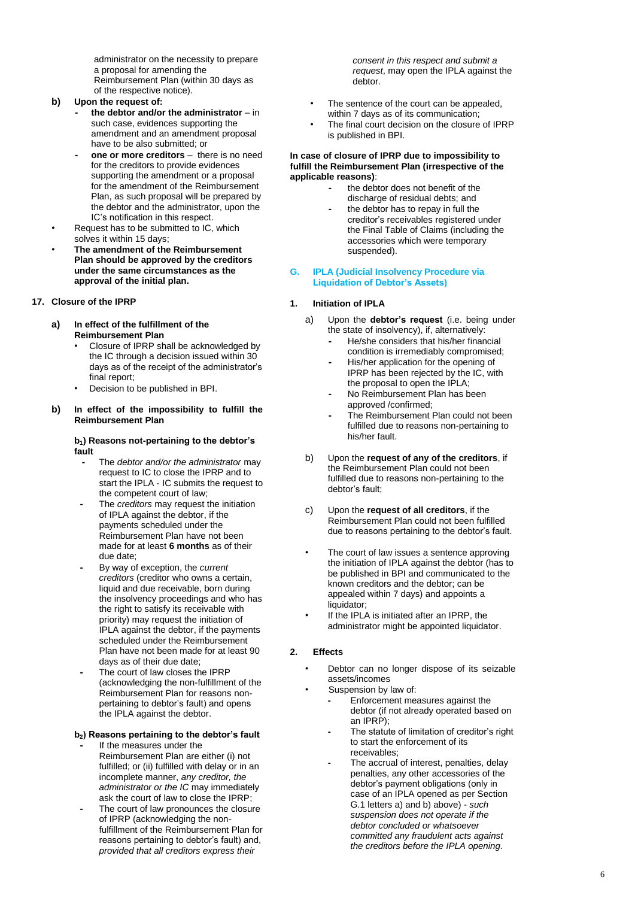administrator on the necessity to prepare a proposal for amending the Reimbursement Plan (within 30 days as of the respective notice) .

## **b) Upon the request of:**

- **- the debtor and/or the administrator**  in such case , evidences supporting the amendment and an amendment proposal have to be also submitted; or
- **- one or more creditors** there is no need for the creditors to provide evidences supporting the amendment or a proposal for the amendment of the Reimbursement Plan, as such proposal will be prepared by the debtor and the administrator, upon the IC's notification in this respect .
- Request has to be submitted to IC, which solves it within 15 days ;
- **The amendment of the Reimbursement Plan should be approved by the creditors under the same circumstances as the approval of the initial plan .**

## **17. Closure of the IPRP**

- **a) In effect of the fulfillment of the Reimbursement Plan**
	- Closure of IPRP shall be acknowledged by the IC through a decision issued within 30 days as of the receipt of the administrator's final report ;
	- Decision to be published in BPI .
- **b) In effect of the impossibility to fulfill the Reimbursement Plan**

### **b1) Reasons not-pertaining to the debtor's fault**

- **-** The *debtor and/or the administrator* may request to IC to close the IPRP and to start the IPLA - IC submits the request to the competent court of law ;
- **-** The *creditors* may request the initiation of IPLA against the debtor , if the payments scheduled under the Reimbursement Plan have not been made for at least **6 months** as of their due date ;
- **-** By way of exception, the *current creditors*  (creditor who owns a certain, liquid and due receivable, born during the insolvency proceedings and who has the right to satisfy its receivable with priority) may request the initiation of IPLA against the debtor , if the payments scheduled under the Reimbursement Plan have not been made for at least 90 days as of their due date ;
- **-** The court of law closes the IPRP (acknowledging the non -fulfillment of the Reimbursement Plan for reasons non pertaining to debtor's fault) and opens the IPLA against the debtor .

## **b <sup>2</sup>) Reasons pertaining to the debtor's fault**

- **-** If the measures under the Reimbursement Plan are either (i) not fulfilled; or (ii) fulfilled with delay or in an incomplete manner, *any creditor, the administrator or the IC* may immediately ask the court of law to close the IPRP ;
- **-** The court of law pronounces the closure of IPRP (acknowledging the non fulfillment of the Reimbursement Plan for reasons pertaining to debtor's fault) and, *provided that all creditors express their*

*consent in this respect and submit a request*, may open the IPLA against the debtor .

- The sentence of the court can be appealed, within 7 days as of its communication ;
- The final court decision on the closure of IPRP is published in BPI .

## **In case of closure of IPRP due to impossibility to fulfill the Reimbursement Plan (irrespective of the applicable reasons)** :

- **-** the debtor does not benefit of the discharge of residual debts; and
- **-** the debtor has to repay in full the creditor's receivables registered under the Final Table of Claims (including the accessories which were temporary suspended).

## **G. IPLA (Judicial Insolvency Procedure via Liquidation of Debtor's Assets)**

## **1. Initiation of IPLA**

- a) Upon the **debtor's request** (i.e. being under the state of insolvency), if, alternatively:
	- **-** He/she considers that his/her financial condition is irremediably compromised;
	- **-** His/her application for the opening of IPRP has been rejected by the IC, with the proposal to open the IPLA;
	- **-** No Reimbursement Plan has been approved /confirmed;
	- **-** The Reimbursement Plan could not been fulfilled due to reasons non -pertaining to his/her fault .
- b) Upon the **request of any of the creditors**, if the Reimbursement Plan could not been fulfilled due to reasons non -pertaining to the debtor's fault;
- c) Upon the **request of all creditors**, if the Reimbursement Plan could not been fulfilled due to reasons pertaining to the debtor's fault.
- The court of law issues a sentence approving the initiation of IPLA against the debtor (has to be published in BPI and communicated to the known creditors and the debtor; can be appealed within 7 days) and appoints a liquidator;
- If the IPLA is initiated after an IPRP, the administrator might be appointed liquidator .

## **2. Effects**

- Debtor can no longer dispose of its seizable assets/incomes
	- Suspension by law of:
		- **-** Enforcement measures against the debtor (if not already operated based on an IPRP) ;
		- **-** The statute of limitation of creditor's right to start the enforcement of its receivables ;
		- **-** The accrual of interest, penalties, delay penalties, any other accessories of the debtor's payment obligations (only in case of an IPLA opened as per Section G.1 letters a) and b) above) - *such suspension does not operate if the debtor concluded or whatsoever committed any fraudulent acts against the creditors before the IPLA opening* .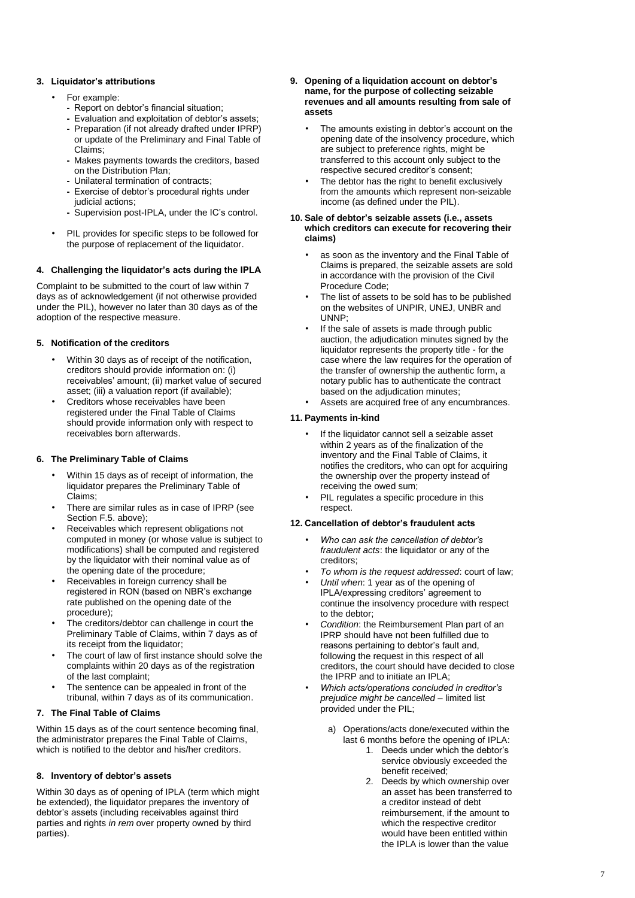## **3. Liquidator's attributions**

## • For example:

- **-** Report on debtor's financial situation ;
- **-** Evaluation and exploitation of debtor's assets ; **-** Preparation (if not already drafted under IPRP) or update of the Preliminary and Final Table of Claims ;
- **-** Makes payments towards the creditors , based on the Distribution Plan ;
- **-** Unilateral termination of contracts ;
- **-** Exercise of debtor's procedural rights under judicial actions ;
- **-** Supervision post -IPLA, under the IC's control .
- PIL provides for specific steps to be followed for the purpose of replacement of the liquidator .

## **4. Challenging the liquid ator's acts during the IPLA**

Complaint to be submitted to the court of law within 7 days as of acknowledgement (if not otherwise provided under the PIL), however no later than 30 days as of the adoption of the respective measure .

## **5. Notification of the creditors**

- Within 30 days as of receipt of the notification , creditors should provide information on: (i) receivables' amount; (ii) market value of secured asset; (iii) a valuation report (if available);
- Creditors whose receivables have been registered under the Final Table of Claims should provide information only with respect to receivables born afterwards .

## **6. The Preliminary Table of Claims**

- Within 15 days as of receipt of information, the liquidator prepares the Preliminary Table of Claims ;
- There are similar rules as in case of IPRP (see Section F.5. above) ;
- Receivables which represent obligations not computed in money (or whose value is subject to modifications ) shall be computed and registered by the liquidator with their nominal value as of the opening date of the procedure ;
- Receivables in foreign currency shall be registered in RON (based on NBR's exchange rate published on the opening date of the procedure) ;
- The creditors/debtor can challenge in court the Preliminary Table of Claims, within 7 days as of its receipt from the liquidator ;
- The court of law of first instance should solve the complaints within 20 days as of the registration of the last complaint ;
- The sentence can be appealed in front of the tribunal, within 7 days as of its communication .

## **7. The Final Table of Claims**

Within 15 days as of the court sentence becoming final, the administrator prepares the Final Table of Claims, which is notified to the debtor and his/her creditors .

## **8. Inventory of debtor's assets**

Within 30 days as of opening of IPLA (term which might be extended), the liquidator prepares the inventory of debtor's assets (including receivables against third parties and rights *in rem* over property owned by third parties) .

- **9. Opening of a liquidation account on debtor's name, for the purpose of collecting seizable revenues and all amounts resulting from sale of assets**
	- The amounts existing in debtor's account on the opening date of the insolvency procedure, which are subject to preference rights , might be transferred to this account only subject to the respective secured creditor's consent ;
	- The debtor has the right to benefit exclusively from the amounts which represent non -seizable income (as defined under the PIL) .

#### **10. Sale of debtor's seizable assets (i.e., assets which creditors can execute for recovering their claims )**

- as soon as the inventory and the Final Table of Claims is prepared, the seizable assets are sold in accordance with the provision of the Civil Procedure Code ;
- The list of assets to be sold has to be published on the websites of UNPIR, UNEJ, UNBR and UNNP ;
- If the sale of assets is made through public auction, the adjudication minutes signed by the liquidator represents the property title - for the case where the law requires for the operation of the transfer of ownership the authentic form, a notary public has to authenticate the contract based on the adjudication minutes ;
- Assets are acquired free of any encumbrances .

## **11. Payments in -kind**

- If the liquidator cannot sell a seizable asset within 2 years as of the finalization of the inventory and the Final Table of Claims, it notifies the creditors, who can opt for acquiring the ownership over the property instead of receiving the owed sum ;
- PIL regulates a specific procedure in this respect .

## **12. Cancellation of debtor's fraudulent acts**

- *Who can ask the cancellation of debtor's fraudulent acts*: the liquidator or any of the creditors ;
- *To whom is the request addressed*: court of law ;
- *Until when*: 1 year as of the opening of IPLA/expressing creditors' agreement to continue the insolvency procedure with respect to the debtor ;
- *Condition*: the Reimbursement Plan part of an IPRP should have not been fulfilled due to reasons pertaining to debtor's fault and, following the request in this respect of all creditors, the court should have decided to close the IPRP and to initiate an IPLA ;
- *Which acts/operations concluded in creditor's prejudice might be cancelled –* limited list provided under the PIL;
	- a) Operations/acts done/executed within the last 6 months before the opening of IPLA:
		- 1. Deeds under which the debtor's service obviously exceeded the benefit received;
		- 2. Deeds by which ownership over an asset has been transferred to a creditor instead of debt reimbursement, if the amount to which the respective creditor would have been entitled within the IPLA is lower than the value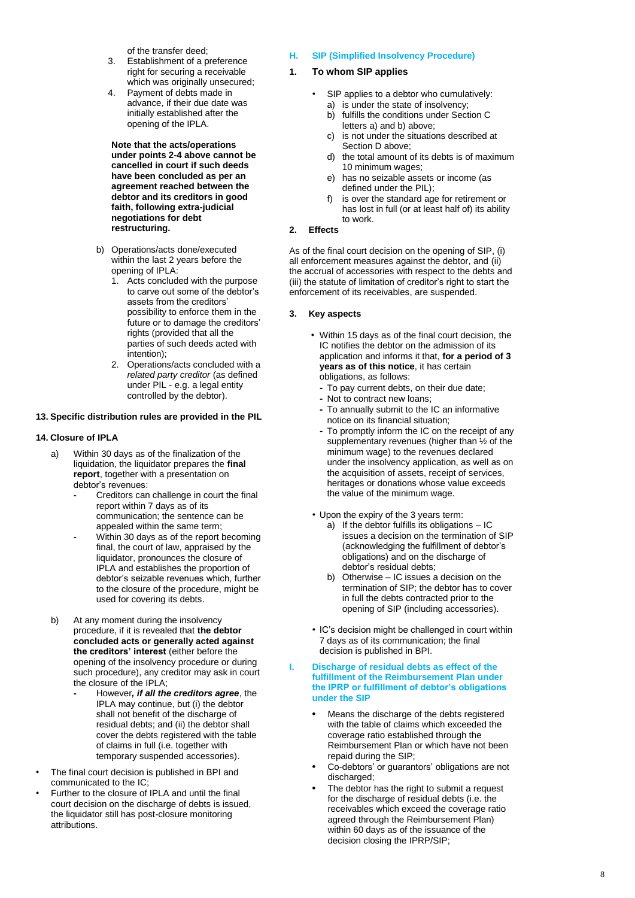of the transfer deed;

- 3. Establishment of a preference right for securing a receivable which was originally unsecured ;
- 4. Payment of debts made in advance, if their due date was initially established after the opening of the IPLA .

**Note that the acts/operations under points 2 -4 above cannot be cancelled in court if such deeds have been concluded as per an agreement reached between the debtor and its creditors in good faith, following extra -judicial negotiations for debt restructuring .**

- b) Operations/acts done/executed within the last 2 years before the opening of IPLA :
	- 1. Acts concluded with the purpose to carve out some of the debtor's<br>assets from the creditors' possibility to enforce them in the future or to damage the creditors' rights (provided that all the parties of such deeds acted with intention) ;
	- 2. Operations/acts concluded with a *related party creditor* (as defined under PIL - e.g. a legal entity controlled by the debtor ) .

## **13. Specific distribution rules are provided in the PIL**

## **14. Closure of IPLA**

- a) Within 30 days as of the finalization of the liquidation, the liquidator prepares the **final report**, together with a presentation on debtor's revenues :
	- **-** Creditors can challenge in court the final report within 7 days as of its communication; the sentence can be appealed within the same term ;
	- **-** Within 30 days as of the report becoming final, the court of law, appraised by the liquidator, pronounces the closure of IPLA and establishes the proportion of debtor's seizable revenues which, further to the closure of the procedure, might be used for covering its debts .
- b) At any moment during the insolvency procedure, if it is revealed that **the debtor concluded acts or generally acted against the creditors' interest** (either before the opening of the insolvency procedure or during such procedure), any creditor may ask in court the closure of the IPLA;
	- **-** However*, if all the creditors agree*, the IPLA may continue, but (i) the debtor shall not benefit of the discharge of residual debts; and (ii) the debtor shall cover the debts registered with the table of claims in full (i.e. together with temporary suspended accessories) .
- The final court decision is published in BPI and communicated to the IC ;
- Further to the closure of IPLA and until the final court decision on the discharge of debts is issued, the liquidator still has post -closure monitoring attributions .

#### **H. SIP (Simplified Insolvency Procedure)**

#### **1. To whom SIP applies**

- SIP applies to a debtor who cumulatively: a) is under the state of insolvency;
	- b) fulfills the conditions under Section C letters a) and b) above;
	- c) is not under the situations described at Section D above;
	- d) the total amount of its debts is of maximum 10 minimum wages ;
	- e) has no seizable assets or income (as defined under the PIL) ;
	- f) is over the standard age for retirement or has lost in full (or at least half of) its ability to work.
- **2. Effects**

As of the final court decision on the opening of SIP, (i) all enforcement measures against the debtor, and (ii) the accrual of accessories with respect to the debts and (iii) the statute of limitation of creditor's right to start the enforcement of its receivables , are suspended .

#### **3. Key aspects**

- Within 15 days as of the final court decision, the IC notifies the debtor on the admission of its application and informs it that, **for a period of 3 years as of this notice**, it has certain obligations, as follows:
	- **-** To pay current debts, on their due date;
	- **-** Not to contract new loans;
	- **-** To annually submit to the IC an informative notice on its financial situation;
	- **-** To promptly inform the IC on the receipt of any supplementary revenues (higher than ½ of the minimum wage) to the revenues declared under the insolvency application, as well as on the acquisition of assets, receipt of services, heritages or donations whose value exceeds the value of the minimum wage.
- Upon the expiry of the 3 years term:
	- a) If the debtor fulfills its obligations IC issues a decision on the termination of SIP (acknowledging the fulfillment of debtor's obligations) and on the discharge of debtor's residual debts;
	- b) Otherwise IC issues a decision on the termination of SIP; the debtor has to cover in full the debts contracted prior to the opening of SIP (including accessories) .
- IC's decision might be challenged in court within 7 days as of its communication; the final decision is published in BPI .

#### **I. Discharge of residual debts as effect of the fulfillment of the Reimbursement Plan under the IPRP or fulfillment of debtor's obligations under the SIP**

- **•** Means the discharge of the debts registered with the table of claims which exceeded the coverage ratio established through the Reimbursement Plan or which have not been repaid during the SIP;
- **•** Co -debtors' or guarantors' obligations are not discharged ;
- **•** The debtor has the right to submit a request for the discharge of residual debts (i.e. the receivables which exceed the coverage ratio agreed through the Reimbursement Plan) within 60 days as of the issuance of the decision closing the IPRP/SIP;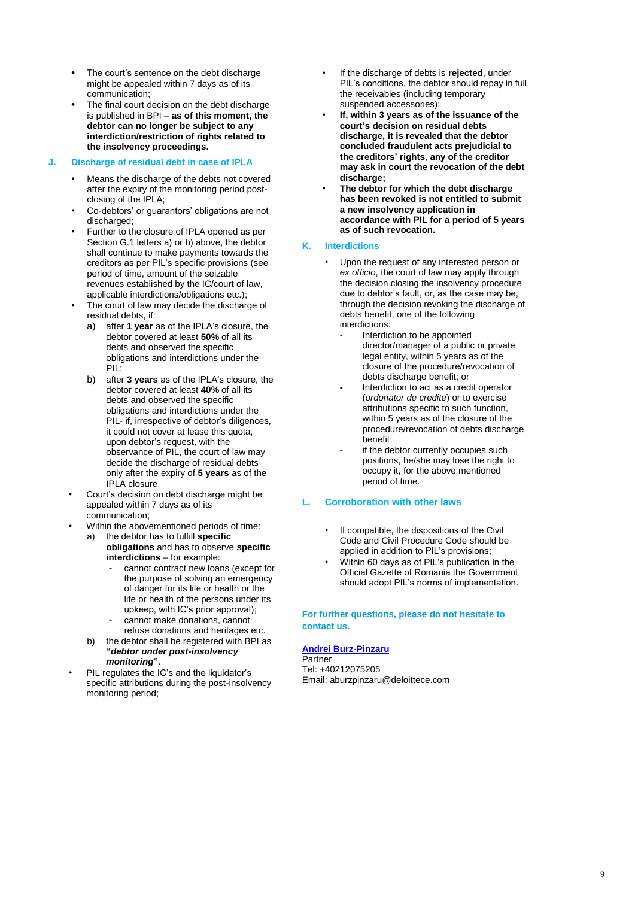- **•** The court's sentence on the debt discharge might be appealed within 7 days as of its communication;
- **•** The final court decision on the debt discharge is published in BPI – **as of this moment, the debtor can no longer be subject to any interdiction/restriction of rights related to the insolvency proceedings.**

## **J. Discharge of residual debt in case of IPLA**

- Means the discharge of the debts not covered after the expiry of the monitoring period postclosing of the IPLA;
- Co-debtors' or guarantors' obligations are not discharged;
- Further to the closure of IPLA opened as per Section G.1 letters a) or b) above, the debtor shall continue to make payments towards the creditors as per PIL's specific provisions (see period of time, amount of the seizable revenues established by the IC/court of law, applicable interdictions/obligations etc.);
- The court of law may decide the discharge of residual debts, if:
	- a) after **1 year** as of the IPLA's closure, the debtor covered at least **50%** of all its debts and observed the specific obligations and interdictions under the PIL;
	- b) after **3 years** as of the IPLA's closure, the debtor covered at least **40%** of all its debts and observed the specific obligations and interdictions under the PIL- if, irrespective of debtor's diligences, it could not cover at lease this quota, upon debtor's request, with the observance of PIL, the court of law may decide the discharge of residual debts only after the expiry of **5 years** as of the IPLA closure.
- Court's decision on debt discharge might be appealed within 7 days as of its communication;
- Within the abovementioned periods of time:
	- a) the debtor has to fulfill **specific obligations** and has to observe **specific interdictions** – for example:
		- **-** cannot contract new loans (except for the purpose of solving an emergency of danger for its life or health or the life or health of the persons under its upkeep, with IC's prior approval); **-** cannot make donations, cannot
		- refuse donations and heritages etc.
	- b) the debtor shall be registered with BPI as **"***debtor under post-insolvency monitoring***"**.
- PIL regulates the IC's and the liquidator's specific attributions during the post-insolvency monitoring period;
- If the discharge of debts is **rejected**, under PIL's conditions, the debtor should repay in full the receivables (including temporary suspended accessories);
- **If, within 3 years as of the issuance of the court's decision on residual debts discharge, it is revealed that the debtor concluded fraudulent acts prejudicial to the creditors' rights, any of the creditor may ask in court the revocation of the debt discharge;**
- **The debtor for which the debt discharge has been revoked is not entitled to submit a new insolvency application in accordance with PIL for a period of 5 years as of such revocation.**

## **K. Interdictions**

- Upon the request of any interested person or *ex officio*, the court of law may apply through the decision closing the insolvency procedure due to debtor's fault, or, as the case may be, through the decision revoking the discharge of debts benefit, one of the following interdictions:
	- **-** Interdiction to be appointed director/manager of a public or private legal entity, within 5 years as of the closure of the procedure/revocation of debts discharge benefit; or
	- **-** Interdiction to act as a credit operator (*ordonator de credite*) or to exercise attributions specific to such function, within 5 years as of the closure of the procedure/revocation of debts discharge benefit;
	- **-** if the debtor currently occupies such positions, he/she may lose the right to occupy it, for the above mentioned period of time.

## **L. Corroboration with other laws**

- If compatible, the dispositions of the Civil Code and Civil Procedure Code should be applied in addition to PIL's provisions;
- Within 60 days as of PIL's publication in the Official Gazette of Romania the Government should adopt PIL's norms of implementation.

**For further questions, please do not hesitate to contact us.**

#### **[Andrei Burz-Pinzaru](mailto:aburzpinzaru@deloitteCE.com)**

**Partner** Tel: +40212075205 Email: aburzpinzaru@deloittece.com